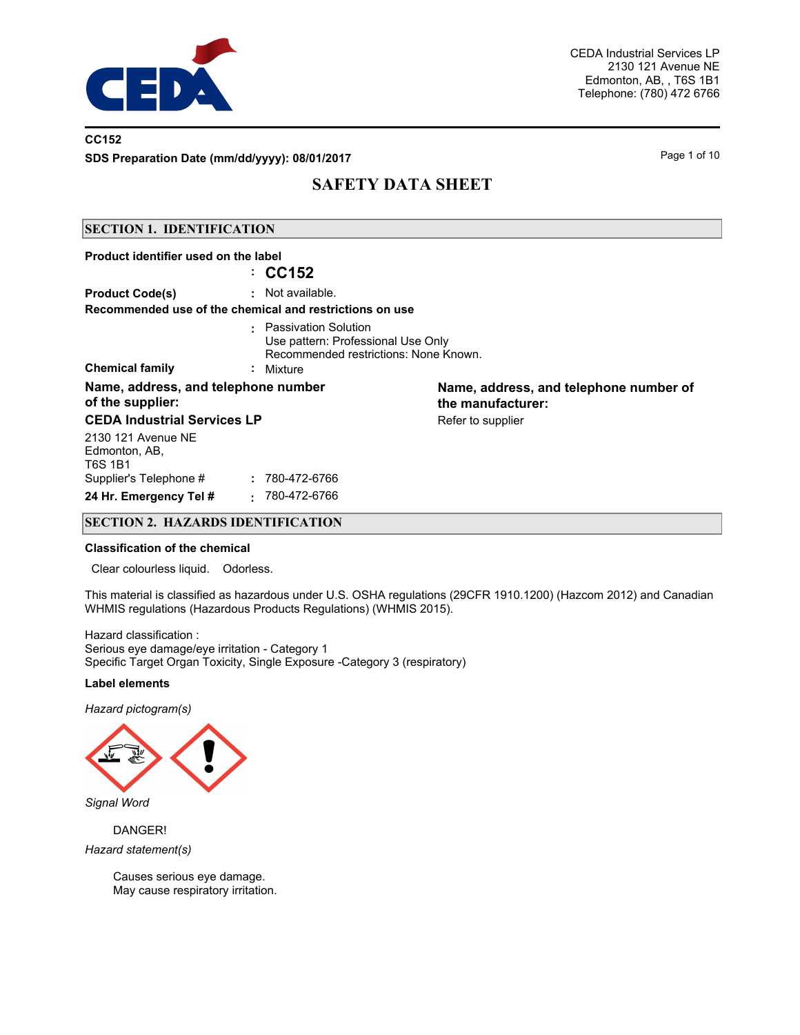

### **CC152**

**SDS Preparation Date (mm/dd/yyyy): 08/01/2017** Page 1 of 10

# **SAFETY DATA SHEET**

### **SECTION 1. IDENTIFICATION**

| Product identifier used on the label                    | : CC152                                                                                                            |                                                             |
|---------------------------------------------------------|--------------------------------------------------------------------------------------------------------------------|-------------------------------------------------------------|
|                                                         |                                                                                                                    |                                                             |
| <b>Product Code(s)</b>                                  | : Not available.                                                                                                   |                                                             |
| Recommended use of the chemical and restrictions on use |                                                                                                                    |                                                             |
| <b>Chemical family</b>                                  | : Passivation Solution<br>Use pattern: Professional Use Only<br>Recommended restrictions: None Known.<br>: Mixture |                                                             |
| Name, address, and telephone number<br>of the supplier: |                                                                                                                    | Name, address, and telephone number of<br>the manufacturer: |
| <b>CEDA Industrial Services LP</b>                      |                                                                                                                    | Refer to supplier                                           |
| 2130 121 Avenue NE<br>Edmonton, AB,<br><b>T6S 1B1</b>   |                                                                                                                    |                                                             |
| Supplier's Telephone #                                  | : 780-472-6766                                                                                                     |                                                             |
| 24 Hr. Emergency Tel #                                  | 780-472-6766                                                                                                       |                                                             |

### **SECTION 2. HAZARDS IDENTIFICATION**

#### **Classification of the chemical**

Clear colourless liquid. Odorless.

This material is classified as hazardous under U.S. OSHA regulations (29CFR 1910.1200) (Hazcom 2012) and Canadian WHMIS regulations (Hazardous Products Regulations) (WHMIS 2015).

Hazard classification : Serious eye damage/eye irritation - Category 1 Specific Target Organ Toxicity, Single Exposure -Category 3 (respiratory)

### **Label elements**

*Hazard pictogram(s)*



*Signal Word*

DANGER! *Hazard statement(s)*

> Causes serious eye damage. May cause respiratory irritation.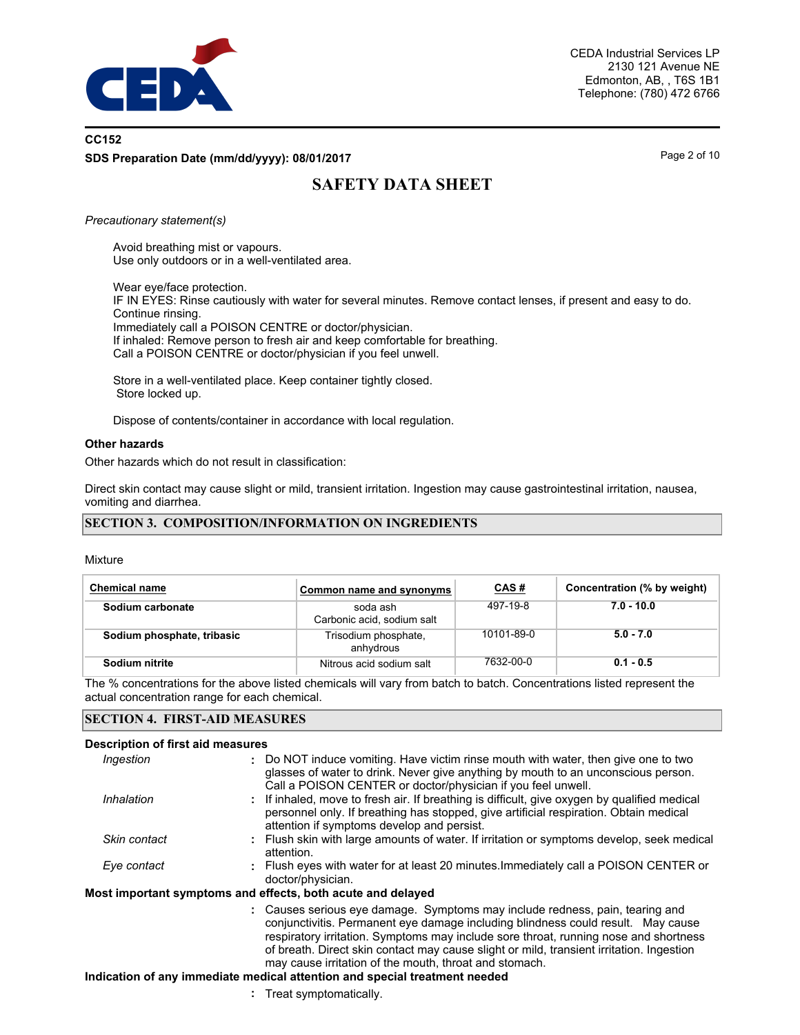

# **CC152 SDS Preparation Date (mm/dd/yyyy): 08/01/2017** Page 2 of 10

# **SAFETY DATA SHEET**

### *Precautionary statement(s)*

Avoid breathing mist or vapours. Use only outdoors or in a well-ventilated area.

Wear eye/face protection. IF IN EYES: Rinse cautiously with water for several minutes. Remove contact lenses, if present and easy to do. Continue rinsing. Immediately call a POISON CENTRE or doctor/physician. If inhaled: Remove person to fresh air and keep comfortable for breathing. Call a POISON CENTRE or doctor/physician if you feel unwell.

Store in a well-ventilated place. Keep container tightly closed. Store locked up.

Dispose of contents/container in accordance with local regulation.

### **Other hazards**

Other hazards which do not result in classification:

Direct skin contact may cause slight or mild, transient irritation. Ingestion may cause gastrointestinal irritation, nausea, vomiting and diarrhea.

### **SECTION 3. COMPOSITION/INFORMATION ON INGREDIENTS**

Mixture

| <b>Chemical name</b>       | Common name and synonyms               | <u>CAS#</u> | Concentration (% by weight) |
|----------------------------|----------------------------------------|-------------|-----------------------------|
| Sodium carbonate           | soda ash<br>Carbonic acid, sodium salt | 497-19-8    | $7.0 - 10.0$                |
| Sodium phosphate, tribasic | Trisodium phosphate,<br>anhydrous      | 10101-89-0  | $5.0 - 7.0$                 |
| Sodium nitrite             | Nitrous acid sodium salt               | 7632-00-0   | $0.1 - 0.5$                 |

The % concentrations for the above listed chemicals will vary from batch to batch. Concentrations listed represent the actual concentration range for each chemical.

### **SECTION 4. FIRST-AID MEASURES**

### **Description of first aid measures**

| Ingestion    | : Do NOT induce vomiting. Have victim rinse mouth with water, then give one to two<br>glasses of water to drink. Never give anything by mouth to an unconscious person.<br>Call a POISON CENTER or doctor/physician if you feel unwell.                                                                                                                                                                        |
|--------------|----------------------------------------------------------------------------------------------------------------------------------------------------------------------------------------------------------------------------------------------------------------------------------------------------------------------------------------------------------------------------------------------------------------|
| Inhalation   | : If inhaled, move to fresh air. If breathing is difficult, give oxygen by qualified medical<br>personnel only. If breathing has stopped, give artificial respiration. Obtain medical<br>attention if symptoms develop and persist.                                                                                                                                                                            |
| Skin contact | : Flush skin with large amounts of water. If irritation or symptoms develop, seek medical<br>attention.                                                                                                                                                                                                                                                                                                        |
| Eye contact  | : Flush eyes with water for at least 20 minutes. Immediately call a POISON CENTER or<br>doctor/physician.                                                                                                                                                                                                                                                                                                      |
|              | Most important symptoms and effects, both acute and delayed                                                                                                                                                                                                                                                                                                                                                    |
|              | : Causes serious eye damage. Symptoms may include redness, pain, tearing and<br>conjunctivitis. Permanent eye damage including blindness could result. May cause<br>respiratory irritation. Symptoms may include sore throat, running nose and shortness<br>of breath. Direct skin contact may cause slight or mild, transient irritation. Ingestion<br>may cause irritation of the mouth, throat and stomach. |

### **Indication of any immediate medical attention and special treatment needed**

**:** Treat symptomatically.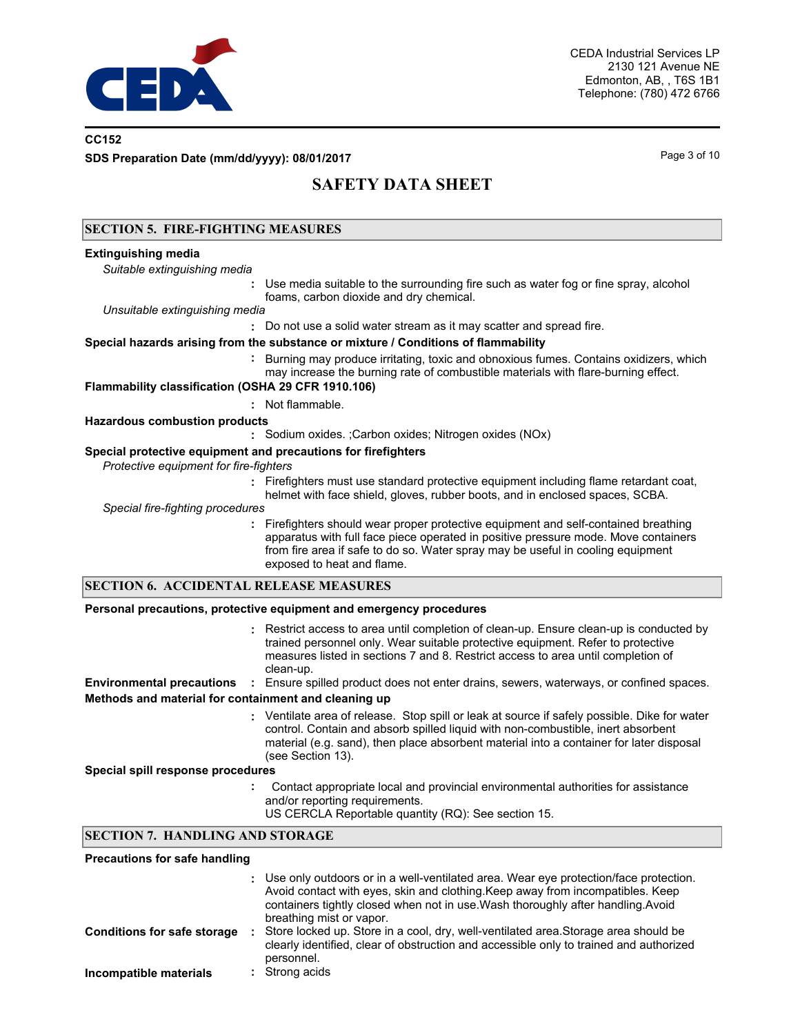

### **CC152**

**SDS Preparation Date (mm/dd/yyyy): 08/01/2017** Page 3 of 10

# **SAFETY DATA SHEET**

### **SECTION 5. FIRE-FIGHTING MEASURES Extinguishing media :** *Suitable extinguishing media* Use media suitable to the surrounding fire such as water fog or fine spray, alcohol foams, carbon dioxide and dry chemical. **:** Do not use a solid water stream as it may scatter and spread fire. *Unsuitable extinguishing media* **:** Burning may produce irritating, toxic and obnoxious fumes. Contains oxidizers, which may increase the burning rate of combustible materials with flare-burning effect. **Special hazards arising from the substance or mixture / Conditions of flammability Flammability classification (OSHA 29 CFR 1910.106) :** Not flammable. **:** Sodium oxides. ;Carbon oxides; Nitrogen oxides (NOx) **Hazardous combustion products Special protective equipment and precautions for firefighters**  *Protective equipment for fire-fighters* **:** Firefighters must use standard protective equipment including flame retardant coat, helmet with face shield, gloves, rubber boots, and in enclosed spaces, SCBA. **:** Firefighters should wear proper protective equipment and self-contained breathing *Special fire-fighting procedures* apparatus with full face piece operated in positive pressure mode. Move containers from fire area if safe to do so. Water spray may be useful in cooling equipment exposed to heat and flame. Restrict access to area until completion of clean-up. Ensure clean-up is conducted by **:** trained personnel only. Wear suitable protective equipment. Refer to protective measures listed in sections 7 and 8. Restrict access to area until completion of clean-up. **Personal precautions, protective equipment and emergency procedures SECTION 6. ACCIDENTAL RELEASE MEASURES Environmental precautions :** Ensure spilled product does not enter drains, sewers, waterways, or confined spaces. Ventilate area of release. Stop spill or leak at source if safely possible. Dike for water control. Contain and absorb spilled liquid with non-combustible, inert absorbent material (e.g. sand), then place absorbent material into a container for later disposal (see Section 13). **: Methods and material for containment and cleaning up Special spill response procedures :** Contact appropriate local and provincial environmental authorities for assistance and/or reporting requirements. US CERCLA Reportable quantity (RQ): See section 15. **SECTION 7. HANDLING AND STORAGE**

Use only outdoors or in a well-ventilated area. Wear eye protection/face protection. **:** Avoid contact with eyes, skin and clothing.Keep away from incompatibles. Keep containers tightly closed when not in use.Wash thoroughly after handling.Avoid breathing mist or vapor. **Precautions for safe handling Conditions for safe storage :** Store locked up. Store in a cool, dry, well-ventilated area.Storage area should be clearly identified, clear of obstruction and accessible only to trained and authorized personnel. **Incompatible materials :** Strong acids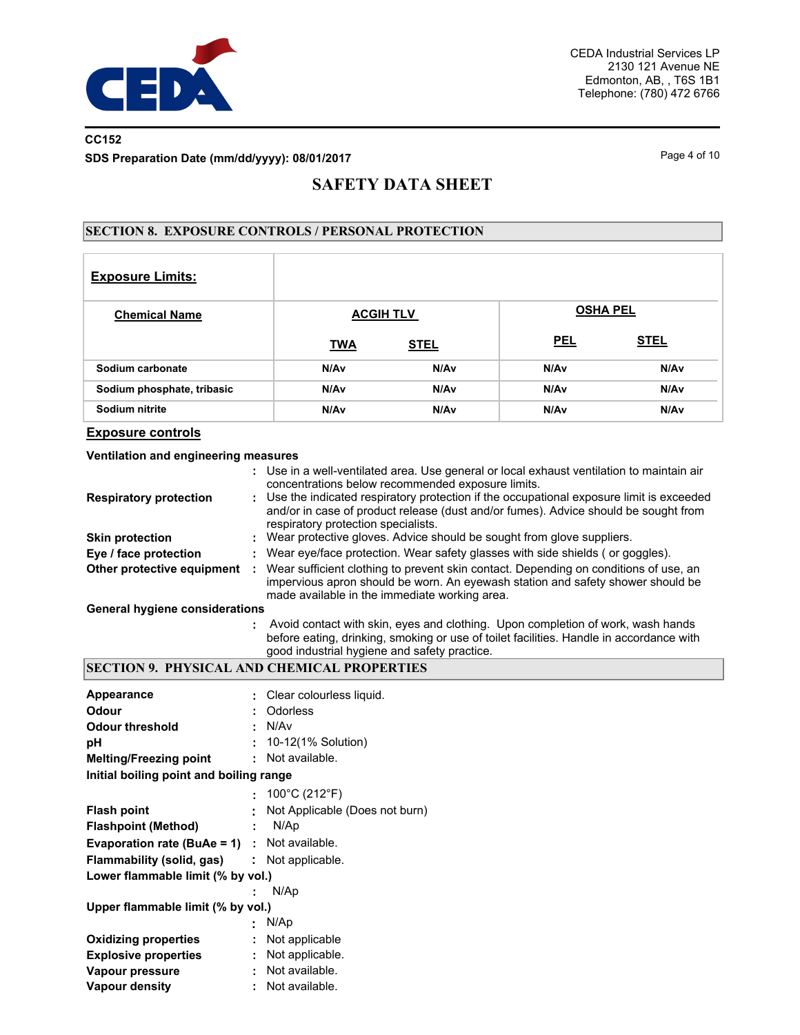

## **CC152 SDS Preparation Date (mm/dd/yyyy): 08/01/2017** Page 4 of 10

# **SAFETY DATA SHEET**

### **SECTION 8. EXPOSURE CONTROLS / PERSONAL PROTECTION**

| <b>Exposure Limits:</b>    |            |                  |            |                 |
|----------------------------|------------|------------------|------------|-----------------|
| <b>Chemical Name</b>       |            | <b>ACGIH TLV</b> |            | <b>OSHA PEL</b> |
|                            | <b>TWA</b> | <b>STEL</b>      | <b>PEL</b> | <b>STEL</b>     |
| Sodium carbonate           | N/Av       | N/Av             | N/Av       | N/Av            |
| Sodium phosphate, tribasic | N/Av       | N/Av             | N/Av       | N/Av            |
| Sodium nitrite             | N/Av       | N/Av             | N/Av       | N/Av            |

### **Exposure controls**

### **Ventilation and engineering measures**

|                                       |   | : Use in a well-ventilated area. Use general or local exhaust ventilation to maintain air<br>concentrations below recommended exposure limits.                                                                           |
|---------------------------------------|---|--------------------------------------------------------------------------------------------------------------------------------------------------------------------------------------------------------------------------|
| <b>Respiratory protection</b>         |   | : Use the indicated respiratory protection if the occupational exposure limit is exceeded<br>and/or in case of product release (dust and/or fumes). Advice should be sought from<br>respiratory protection specialists.  |
| <b>Skin protection</b>                |   | Wear protective gloves. Advice should be sought from glove suppliers.                                                                                                                                                    |
| Eye / face protection                 |   | : Wear eye/face protection. Wear safety glasses with side shields (or goggles).                                                                                                                                          |
| Other protective equipment            | ÷ | Wear sufficient clothing to prevent skin contact. Depending on conditions of use, an<br>impervious apron should be worn. An eyewash station and safety shower should be<br>made available in the immediate working area. |
| <b>General hygiene considerations</b> |   |                                                                                                                                                                                                                          |
|                                       |   | Avoid contact with skin, eyes and clothing. Upon completion of work, wash hands                                                                                                                                          |

before eating, drinking, smoking or use of toilet facilities. Handle in accordance with good industrial hygiene and safety practice.

## **SECTION 9. PHYSICAL AND CHEMICAL PROPERTIES**

| <b>Appearance</b>                                   |    | Clear colourless liquid.       |
|-----------------------------------------------------|----|--------------------------------|
| Odour                                               | ÷  | Odorless                       |
| <b>Odour threshold</b>                              | ÷  | N/Av                           |
| рH                                                  | ÷. | 10-12(1% Solution)             |
| <b>Melting/Freezing point</b>                       | ÷. | Not available.                 |
| Initial boiling point and boiling range             |    |                                |
|                                                     |    | 100°C (212°F)                  |
| <b>Flash point</b>                                  |    | Not Applicable (Does not burn) |
| <b>Flashpoint (Method)</b>                          | ÷  | N/Ap                           |
| <b>Evaporation rate (BuAe = 1)</b> : Not available. |    |                                |
| Flammability (solid, gas)                           |    | $\therefore$ Not applicable.   |
| Lower flammable limit (% by vol.)                   |    |                                |
|                                                     |    | N/Ap                           |
| Upper flammable limit (% by vol.)                   |    |                                |
|                                                     |    | N/Ap                           |
| <b>Oxidizing properties</b>                         | ÷  | Not applicable                 |
| <b>Explosive properties</b>                         | ÷  | Not applicable.                |
| Vapour pressure                                     | ÷  | Not available.                 |
| <b>Vapour density</b>                               |    | Not available.                 |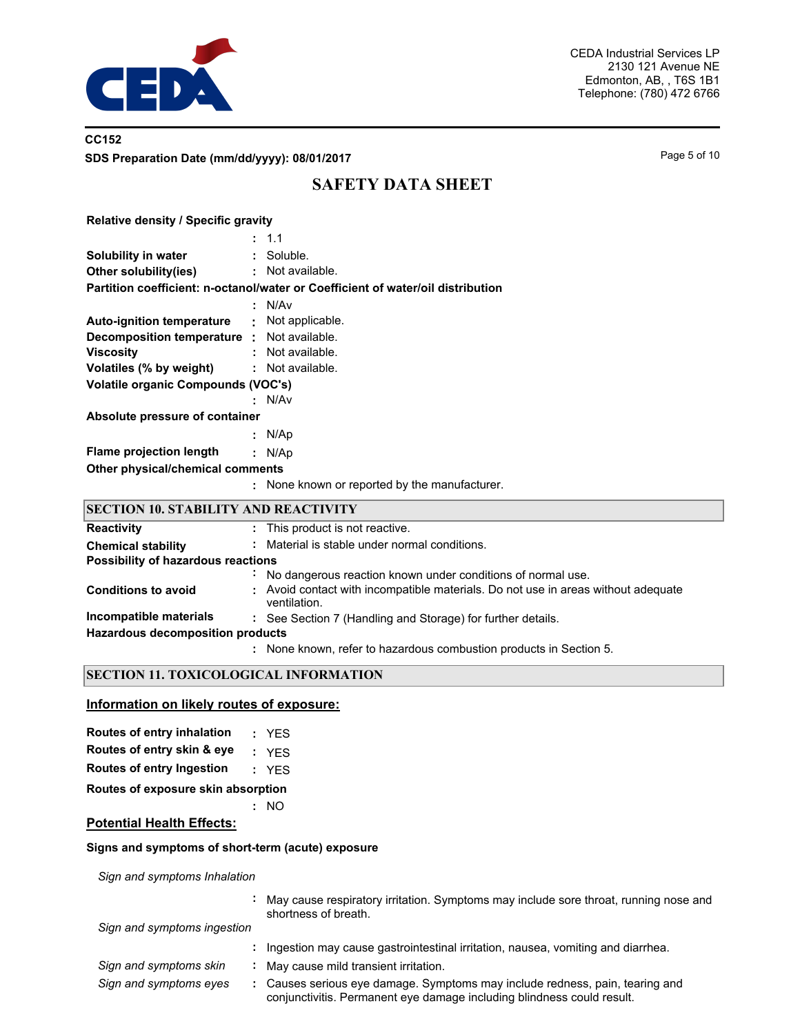

## **CC152 SDS Preparation Date (mm/dd/yyyy): 08/01/2017** Page 5 of 10

# **SAFETY DATA SHEET**

| <b>Relative density / Specific gravity</b>         |                                                                                 |  |  |  |
|----------------------------------------------------|---------------------------------------------------------------------------------|--|--|--|
|                                                    | : 1.1                                                                           |  |  |  |
| Solubility in water                                | : Soluble.                                                                      |  |  |  |
| Other solubility(ies) : Not available.             |                                                                                 |  |  |  |
|                                                    | Partition coefficient: n-octanol/water or Coefficient of water/oil distribution |  |  |  |
|                                                    | : N/Av                                                                          |  |  |  |
| <b>Auto-ignition temperature :</b> Not applicable. |                                                                                 |  |  |  |
| <b>Decomposition temperature :</b> Not available.  |                                                                                 |  |  |  |
| <b>Viscosity</b>                                   | $:$ Not available.                                                              |  |  |  |
| Volatiles (% by weight)                            | : Not available.                                                                |  |  |  |
| <b>Volatile organic Compounds (VOC's)</b>          |                                                                                 |  |  |  |
|                                                    | : N/Av                                                                          |  |  |  |
| Absolute pressure of container                     |                                                                                 |  |  |  |
|                                                    | : N/Ap                                                                          |  |  |  |
| Flame projection length                            | : $N/Ap$                                                                        |  |  |  |
| Other physical/chemical comments                   |                                                                                 |  |  |  |
|                                                    | : None known or reported by the manufacturer.                                   |  |  |  |
| SECTION 10. STABILITY AND REACTIVITY               |                                                                                 |  |  |  |

| <b>Reactivity</b>                       |                | : This product is not reactive.                                                                   |
|-----------------------------------------|----------------|---------------------------------------------------------------------------------------------------|
| <b>Chemical stability</b>               | ÷.             | Material is stable under normal conditions.                                                       |
| Possibility of hazardous reactions      |                |                                                                                                   |
|                                         | $\blacksquare$ | No dangerous reaction known under conditions of normal use.                                       |
| <b>Conditions to avoid</b>              |                | : Avoid contact with incompatible materials. Do not use in areas without adequate<br>ventilation. |
| Incompatible materials                  |                | : See Section 7 (Handling and Storage) for further details.                                       |
| <b>Hazardous decomposition products</b> |                |                                                                                                   |
|                                         |                | None known, refer to hazardous combustion products in Section 5.                                  |

### **SECTION 11. TOXICOLOGICAL INFORMATION**

### **Information on likely routes of exposure:**

| <b>Routes of entry inhalation</b>  |  | : YES |  |  |  |
|------------------------------------|--|-------|--|--|--|
| Routes of entry skin & eye         |  | : YFS |  |  |  |
| Routes of entry Ingestion          |  | : YFS |  |  |  |
| Routes of exposure skin absorption |  |       |  |  |  |
|                                    |  | : NO  |  |  |  |

# **Potential Health Effects:**

### **Signs and symptoms of short-term (acute) exposure**

*Sign and symptoms Inhalation*

| Sign and symptoms Inhalation |                                                                                                                                                      |
|------------------------------|------------------------------------------------------------------------------------------------------------------------------------------------------|
|                              | May cause respiratory irritation. Symptoms may include sore throat, running nose and<br>shortness of breath.                                         |
| Sign and symptoms ingestion  |                                                                                                                                                      |
|                              | Ingestion may cause gastrointestinal irritation, nausea, vomiting and diarrhea.                                                                      |
| Sign and symptoms skin       | May cause mild transient irritation.                                                                                                                 |
| Sign and symptoms eyes       | Causes serious eye damage. Symptoms may include redness, pain, tearing and<br>conjunctivitis. Permanent eye damage including blindness could result. |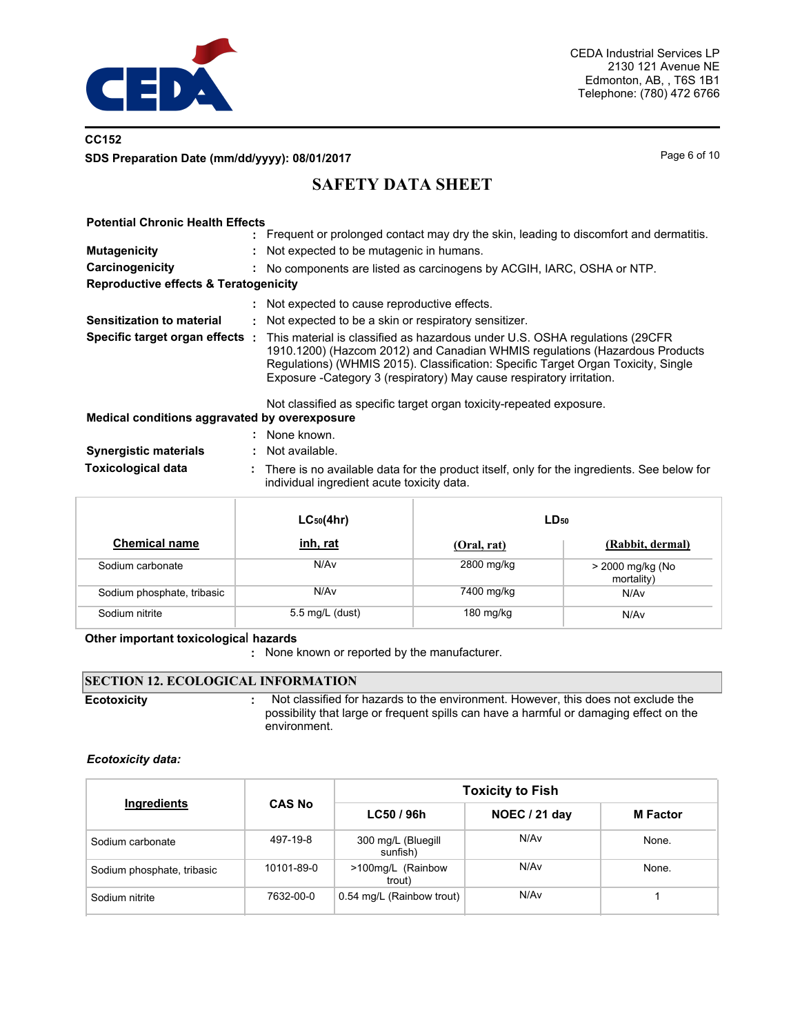

# **CC152 SDS Preparation Date (mm/dd/yyyy): 08/01/2017** Page 6 of 10

# **SAFETY DATA SHEET**

### **Potential Chronic Health Effects**

|                                                  |    | : Frequent or prolonged contact may dry the skin, leading to discomfort and dermatitis.                                                                                                                                                                                                                                   |
|--------------------------------------------------|----|---------------------------------------------------------------------------------------------------------------------------------------------------------------------------------------------------------------------------------------------------------------------------------------------------------------------------|
| <b>Mutagenicity</b>                              |    | Not expected to be mutagenic in humans.                                                                                                                                                                                                                                                                                   |
| Carcinogenicity                                  | ÷. | No components are listed as carcinogens by ACGIH, IARC, OSHA or NTP.                                                                                                                                                                                                                                                      |
| <b>Reproductive effects &amp; Teratogenicity</b> |    |                                                                                                                                                                                                                                                                                                                           |
|                                                  |    | : Not expected to cause reproductive effects.                                                                                                                                                                                                                                                                             |
| Sensitization to material                        |    | Not expected to be a skin or respiratory sensitizer.                                                                                                                                                                                                                                                                      |
| Specific target organ effects :                  |    | This material is classified as hazardous under U.S. OSHA regulations (29CFR)<br>1910.1200) (Hazcom 2012) and Canadian WHMIS regulations (Hazardous Products<br>Regulations) (WHMIS 2015). Classification: Specific Target Organ Toxicity, Single<br>Exposure - Category 3 (respiratory) May cause respiratory irritation. |
|                                                  |    | Not classified as specific target organ toxicity-repeated exposure.                                                                                                                                                                                                                                                       |
| Medical conditions aggravated by overexposure    |    |                                                                                                                                                                                                                                                                                                                           |

|                              | None known.                                                                                                                              |
|------------------------------|------------------------------------------------------------------------------------------------------------------------------------------|
| <b>Synergistic materials</b> | : Not available.                                                                                                                         |
| <b>Toxicological data</b>    | There is no available data for the product itself, only for the ingredients. See below for<br>individual ingredient acute toxicity data. |

|                            | $LC_{50}(4hr)$   | $LD_{50}$   |                                |  |
|----------------------------|------------------|-------------|--------------------------------|--|
| <b>Chemical name</b>       | inh, rat         | (Oral, rat) | (Rabbit, dermal)               |  |
| Sodium carbonate           | N/A <sub>v</sub> | 2800 mg/kg  | > 2000 mg/kg (No<br>mortality) |  |
| Sodium phosphate, tribasic | N/Av             | 7400 mg/kg  | N/Av                           |  |
| Sodium nitrite             | 5.5 mg/L (dust)  | 180 mg/kg   | N/Av                           |  |

### **Other important toxicologica**l **hazards**

**:** None known or reported by the manufacturer.

## **SECTION 12. ECOLOGICAL INFORMATION**

**Ecotoxicity :**

 Not classified for hazards to the environment. However, this does not exclude the possibility that large or frequent spills can have a harmful or damaging effect on the environment.

### *Ecotoxicity data:*

|                            |               | <b>Toxicity to Fish</b>        |                  |                 |  |  |
|----------------------------|---------------|--------------------------------|------------------|-----------------|--|--|
| Ingredients                | <b>CAS No</b> | LC50 / 96h                     | NOEC / 21 day    | <b>M</b> Factor |  |  |
| Sodium carbonate           | 497-19-8      | 300 mg/L (Bluegill<br>sunfish) | N/Av             | None.           |  |  |
| Sodium phosphate, tribasic | 10101-89-0    | >100mg/L (Rainbow<br>trout)    | N/Av             | None.           |  |  |
| Sodium nitrite             | 7632-00-0     | 0.54 mg/L (Rainbow trout)      | N/A <sub>v</sub> |                 |  |  |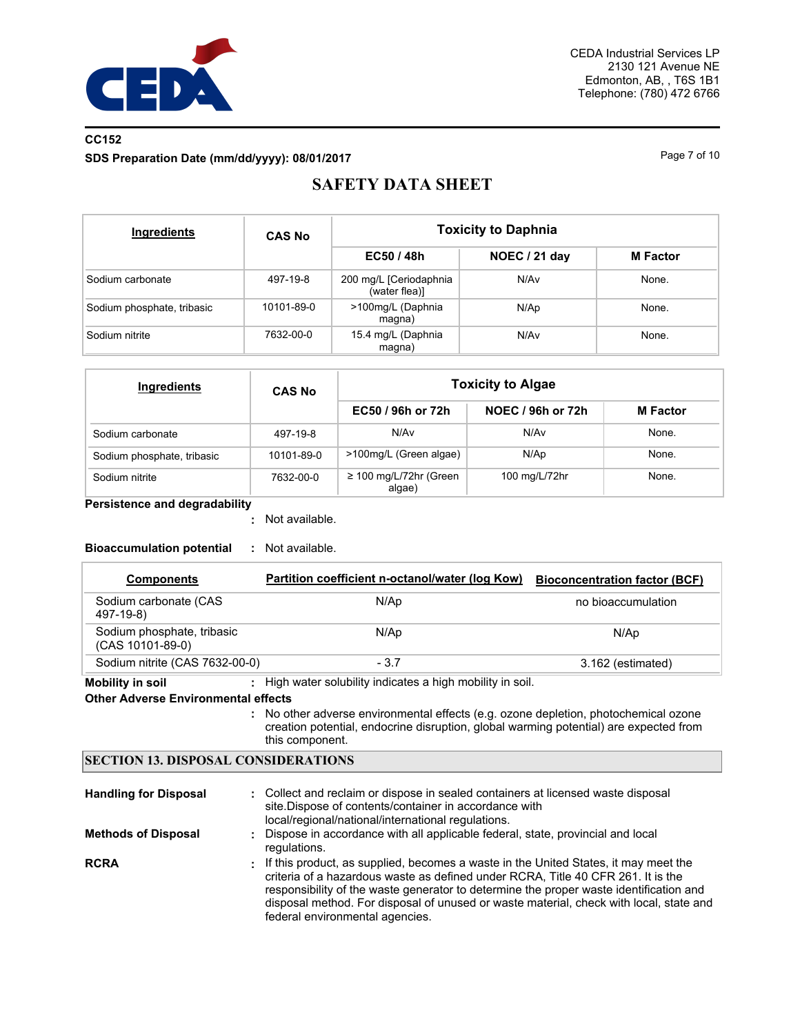

# **CC152 SDS Preparation Date (mm/dd/yyyy): 08/01/2017** Page 7 of 10

# **SAFETY DATA SHEET**

| Ingredients                | <b>CAS No</b> | <b>Toxicity to Daphnia</b>              |               |                 |  |  |
|----------------------------|---------------|-----------------------------------------|---------------|-----------------|--|--|
|                            |               | EC50 / 48h                              | NOEC / 21 day | <b>M</b> Factor |  |  |
| Sodium carbonate           | 497-19-8      | 200 mg/L [Ceriodaphnia<br>(water flea)] | N/Av          | None.           |  |  |
| Sodium phosphate, tribasic | 10101-89-0    | >100mg/L (Daphnia<br>magna)             | N/Ap          | None.           |  |  |
| Sodium nitrite             | 7632-00-0     | 15.4 mg/L (Daphnia<br>magna)            | N/Av          | None.           |  |  |

| Ingredients                | <b>CAS No</b> | <b>Toxicity to Algae</b>              |                   |                 |  |  |
|----------------------------|---------------|---------------------------------------|-------------------|-----------------|--|--|
|                            |               | EC50 / 96h or 72h                     | NOEC / 96h or 72h | <b>M</b> Factor |  |  |
| Sodium carbonate           | 497-19-8      | N/Av                                  | N/Av              | None.           |  |  |
| Sodium phosphate, tribasic | 10101-89-0    | >100mg/L (Green algae)                | N/Ap              | None.           |  |  |
| Sodium nitrite             | 7632-00-0     | $\geq$ 100 mg/L/72hr (Green<br>algae) | 100 mg/L/72hr     | None.           |  |  |

### **Persistence and degradability**

Not available. **:**

## **Bioaccumulation potential :** Not available.

| <b>Components</b>                              | Partition coefficient n-octanol/water (log Kow) | <b>Bioconcentration factor (BCF)</b> |
|------------------------------------------------|-------------------------------------------------|--------------------------------------|
| Sodium carbonate (CAS<br>497-19-8)             | N/Ap                                            | no bioaccumulation                   |
| Sodium phosphate, tribasic<br>(CAS 10101-89-0) | N/Ap                                            | N/Ap                                 |
| Sodium nitrite (CAS 7632-00-0)                 | $-3.7$                                          | 3.162 (estimated)                    |

**Mobility in soil :** High water solubility indicates a high mobility in soil.

### **Other Adverse Environmental effects**

No other adverse environmental effects (e.g. ozone depletion, photochemical ozone **:** creation potential, endocrine disruption, global warming potential) are expected from this component.

### **SECTION 13. DISPOSAL CONSIDERATIONS**

| <b>Handling for Disposal</b> | : Collect and reclaim or dispose in sealed containers at licensed waste disposal<br>site. Dispose of contents/container in accordance with<br>local/regional/national/international regulations.                                                                                                                                                                                                 |
|------------------------------|--------------------------------------------------------------------------------------------------------------------------------------------------------------------------------------------------------------------------------------------------------------------------------------------------------------------------------------------------------------------------------------------------|
| <b>Methods of Disposal</b>   | : Dispose in accordance with all applicable federal, state, provincial and local<br>regulations.                                                                                                                                                                                                                                                                                                 |
| <b>RCRA</b>                  | : If this product, as supplied, becomes a waste in the United States, it may meet the<br>criteria of a hazardous waste as defined under RCRA. Title 40 CFR 261. It is the<br>responsibility of the waste generator to determine the proper waste identification and<br>disposal method. For disposal of unused or waste material, check with local, state and<br>federal environmental agencies. |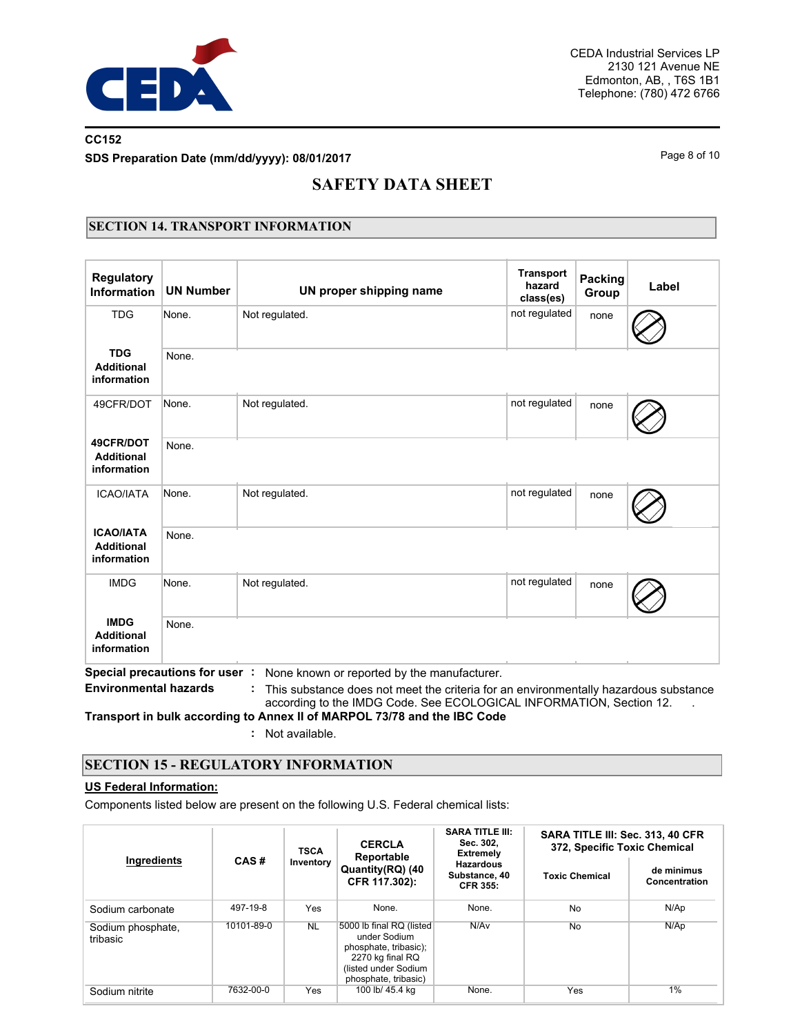

# **CC152 SDS Preparation Date (mm/dd/yyyy): 08/01/2017** Page 8 of 10

# **SAFETY DATA SHEET**

## **SECTION 14. TRANSPORT INFORMATION**

| <b>Regulatory</b><br><b>Information</b>              | <b>UN Number</b>              | UN proper shipping name                                                                                                                                                                                    | <b>Transport</b><br>hazard<br>class(es) | Packing<br>Group | Label |
|------------------------------------------------------|-------------------------------|------------------------------------------------------------------------------------------------------------------------------------------------------------------------------------------------------------|-----------------------------------------|------------------|-------|
| <b>TDG</b>                                           | None.                         | Not regulated.                                                                                                                                                                                             | not regulated                           | none             |       |
| <b>TDG</b><br><b>Additional</b><br>information       | None.                         |                                                                                                                                                                                                            |                                         |                  |       |
| 49CFR/DOT                                            | None.                         | Not regulated.                                                                                                                                                                                             | not regulated                           | none             |       |
| 49CFR/DOT<br><b>Additional</b><br>information        | None.                         |                                                                                                                                                                                                            |                                         |                  |       |
| <b>ICAO/IATA</b>                                     | None.                         | Not regulated.                                                                                                                                                                                             | not regulated                           | none             |       |
| <b>ICAO/IATA</b><br><b>Additional</b><br>information | None.                         |                                                                                                                                                                                                            |                                         |                  |       |
| <b>IMDG</b>                                          | None.                         | Not regulated.                                                                                                                                                                                             | not regulated                           | none             |       |
| <b>IMDG</b><br><b>Additional</b><br>information      | None.                         |                                                                                                                                                                                                            |                                         |                  |       |
| <b>Environmental hazards</b>                         | Special precautions for user: | None known or reported by the manufacturer.<br>This substance does not meet the criteria for an environmentally hazardous substance<br>according to the IMDG Code. See ECOLOGICAL INFORMATION, Section 12. |                                         |                  |       |

**Transport in bulk according to Annex II of MARPOL 73/78 and the IBC Code**

**:** Not available.

## **SECTION 15 - REGULATORY INFORMATION**

### **US Federal Information:**

Components listed below are present on the following U.S. Federal chemical lists:

|                               |            | <b>TSCA</b>                                    | <b>CERCLA</b><br>Reportable                                                                                                           | <b>SARA TITLE III:</b><br>Sec. 302,<br><b>Extremely</b> | SARA TITLE III: Sec. 313, 40 CFR<br>372, Specific Toxic Chemical |                             |  |
|-------------------------------|------------|------------------------------------------------|---------------------------------------------------------------------------------------------------------------------------------------|---------------------------------------------------------|------------------------------------------------------------------|-----------------------------|--|
| Ingredients                   | CAS#       | Inventory<br>Quantity(RQ) (40<br>CFR 117.302): |                                                                                                                                       | <b>Hazardous</b><br>Substance, 40<br><b>CFR 355:</b>    | <b>Toxic Chemical</b>                                            | de minimus<br>Concentration |  |
| Sodium carbonate              | 497-19-8   | Yes                                            | None.                                                                                                                                 | None.                                                   | <b>No</b>                                                        | N/Ap                        |  |
| Sodium phosphate,<br>tribasic | 10101-89-0 | <b>NL</b>                                      | 5000 lb final RQ (listed<br>under Sodium<br>phosphate, tribasic);<br>2270 kg final RQ<br>(listed under Sodium<br>phosphate, tribasic) | N/Av                                                    | No                                                               | N/AD                        |  |
| Sodium nitrite                | 7632-00-0  | Yes                                            | 100 lb/ 45.4 kg                                                                                                                       | None.                                                   | Yes                                                              | 1%                          |  |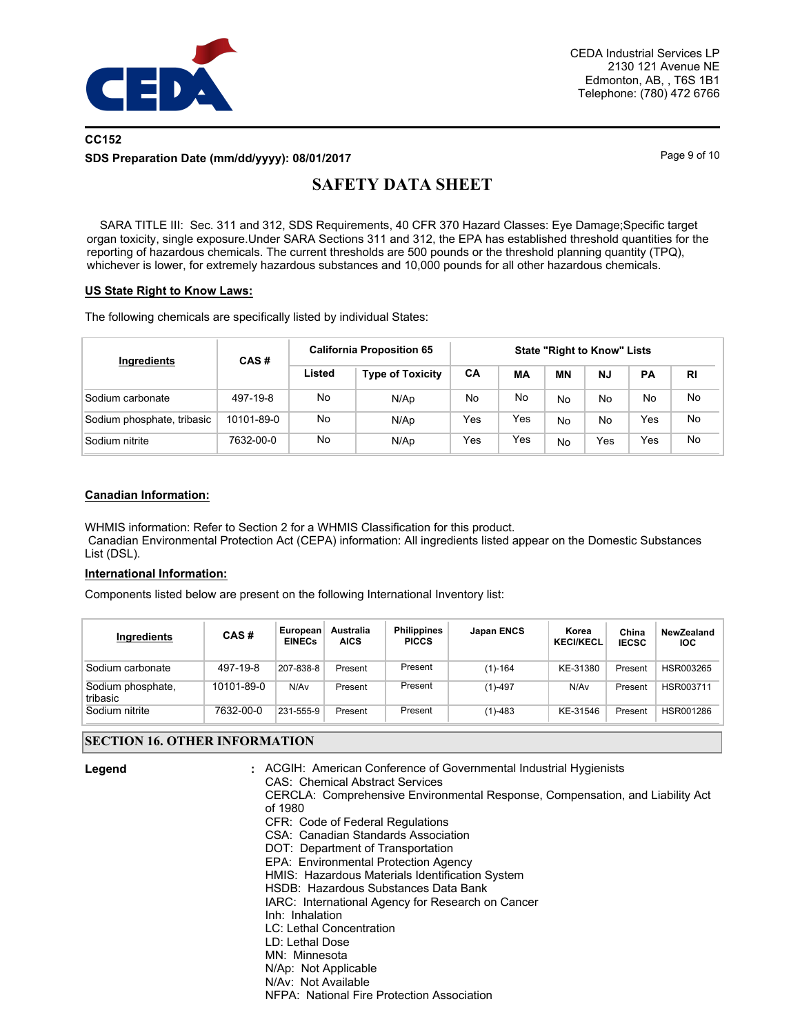

# **CC152 SDS Preparation Date (mm/dd/yyyy): 08/01/2017** Page 9 of 10

# **SAFETY DATA SHEET**

 SARA TITLE III: Sec. 311 and 312, SDS Requirements, 40 CFR 370 Hazard Classes: Eye Damage;Specific target organ toxicity, single exposure.Under SARA Sections 311 and 312, the EPA has established threshold quantities for the reporting of hazardous chemicals. The current thresholds are 500 pounds or the threshold planning quantity (TPQ), whichever is lower, for extremely hazardous substances and 10,000 pounds for all other hazardous chemicals.

### **US State Right to Know Laws:**

The following chemicals are specifically listed by individual States:

| Ingredients                | CAS#       | <b>California Proposition 65</b> | <b>State "Right to Know" Lists</b> |     |     |    |           |     |           |
|----------------------------|------------|----------------------------------|------------------------------------|-----|-----|----|-----------|-----|-----------|
|                            |            | Listed                           | <b>Type of Toxicity</b>            | CA  | МA  | ΜN | <b>NJ</b> | PA  | <b>RI</b> |
| Sodium carbonate           | 497-19-8   | No                               | N/Ap                               | No  | No  | No | No        | No  | No        |
| Sodium phosphate, tribasic | 10101-89-0 | No                               | N/Ap                               | Yes | Yes | No | No        | Yes | No        |
| Sodium nitrite             | 7632-00-0  | No                               | N/Ap                               | Yes | Yes | No | Yes       | Yes | No        |

### **Canadian Information:**

WHMIS information: Refer to Section 2 for a WHMIS Classification for this product. Canadian Environmental Protection Act (CEPA) information: All ingredients listed appear on the Domestic Substances List (DSL).

### **International Information:**

Components listed below are present on the following International Inventory list:

| Ingredients                   | CAS#       | European<br><b>EINECs</b> | Australia<br><b>AICS</b> | <b>Philippines</b><br><b>PICCS</b> | <b>Japan ENCS</b> | Korea<br><b>KECI/KECL</b> | China<br><b>IECSC</b> | NewZealand<br><b>IOC</b> |
|-------------------------------|------------|---------------------------|--------------------------|------------------------------------|-------------------|---------------------------|-----------------------|--------------------------|
| Sodium carbonate              | 497-19-8   | 207-838-8                 | Present                  | Present                            | $(1) - 164$       | KE-31380                  | Present               | HSR003265                |
| Sodium phosphate,<br>tribasic | 10101-89-0 | N/Av                      | Present                  | Present                            | $(1) - 497$       | N/Av                      | Present               | HSR003711                |
| Sodium nitrite                | 7632-00-0  | 231-555-9                 | Present                  | Present                            | $(1) - 483$       | KE-31546                  | Present               | HSR001286                |

### **SECTION 16. OTHER INFORMATION**

| SECTION 16. OTHER INFORMATION |                                                                                                                                                                                                                                                                                                                                                                                                                                                                                                                                                                                                                                                                                                         |  |  |  |  |  |
|-------------------------------|---------------------------------------------------------------------------------------------------------------------------------------------------------------------------------------------------------------------------------------------------------------------------------------------------------------------------------------------------------------------------------------------------------------------------------------------------------------------------------------------------------------------------------------------------------------------------------------------------------------------------------------------------------------------------------------------------------|--|--|--|--|--|
| Legend                        | : ACGIH: American Conference of Governmental Industrial Hygienists<br><b>CAS: Chemical Abstract Services</b><br>CERCLA: Comprehensive Environmental Response, Compensation, and Liability Act<br>of 1980<br>CFR: Code of Federal Regulations<br>CSA: Canadian Standards Association<br>DOT: Department of Transportation<br>EPA: Environmental Protection Agency<br>HMIS: Hazardous Materials Identification System<br>HSDB: Hazardous Substances Data Bank<br>IARC: International Agency for Research on Cancer<br>Inh: Inhalation<br><b>LC: Lethal Concentration</b><br>LD: Lethal Dose<br>MN: Minnesota<br>N/Ap: Not Applicable<br>N/Av: Not Available<br>NFPA: National Fire Protection Association |  |  |  |  |  |
|                               |                                                                                                                                                                                                                                                                                                                                                                                                                                                                                                                                                                                                                                                                                                         |  |  |  |  |  |